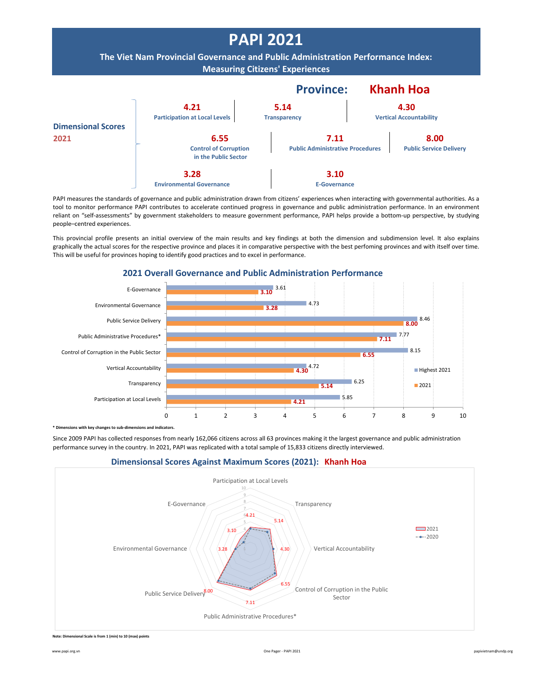

PAPI measures the standards of governance and public administration drawn from citizens' experiences when interacting with governmental authorities. As a tool to monitor performance PAPI contributes to accelerate continued progress in governance and public administration performance. In an environment reliant on "self-assessments" by government stakeholders to measure government performance, PAPI helps provide a bottom-up perspective, by studying people–centred experiences.

This provincial profile presents an initial overview of the main results and key findings at both the dimension and subdimension level. It also explains graphically the actual scores for the respective province and places it in comparative perspective with the best perfoming provinces and with itself over time. This will be useful for provinces hoping to identify good practices and to excel in performance.



**2021 Overall Governance and Public Administration Performance**

**himethor with key changes to sub-dimensions and indicators** 

Since 2009 PAPI has collected responses from nearly 162,066 citizens across all 63 provinces making it the largest governance and public administration performance survey in the country. In 2021, PAPI was replicated with a total sample of 15,833 citizens directly interviewed.





**Note: Dimensional Scale is from 1 (min) to 10 (max) points**